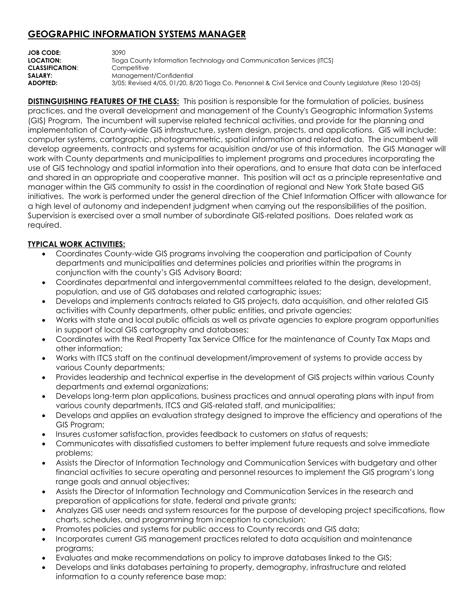## **GEOGRAPHIC INFORMATION SYSTEMS MANAGER**

| <b>JOB CODE:</b><br>LOCATION: | 3090<br>Tioga County Information Technology and Communication Services (ITCS)                            |
|-------------------------------|----------------------------------------------------------------------------------------------------------|
| <b>CLASSIFICATION:</b>        | Competitive                                                                                              |
| SALARY:                       | Management/Confidential                                                                                  |
| <b>ADOPTED:</b>               | 3/05; Revised 4/05, 01/20, 8/20 Tioga Co. Personnel & Civil Service and County Legislature (Reso 120-05) |

**DISTINGUISHING FEATURES OF THE CLASS:** This position is responsible for the formulation of policies, business practices, and the overall development and management of the County's Geographic Information Systems (GIS) Program. The incumbent will supervise related technical activities, and provide for the planning and implementation of County-wide GIS infrastructure, system design, projects, and applications. GIS will include: computer systems, cartographic, photogrammetric, spatial information and related data. The incumbent will develop agreements, contracts and systems for acquisition and/or use of this information. The GIS Manager will work with County departments and municipalities to implement programs and procedures incorporating the use of GIS technology and spatial information into their operations, and to ensure that data can be interfaced and shared in an appropriate and cooperative manner. This position will act as a principle representative and manager within the GIS community to assist in the coordination of regional and New York State based GIS initiatives. The work is performed under the general direction of the Chief Information Officer with allowance for a high level of autonomy and independent judgment when carrying out the responsibilities of the position. Supervision is exercised over a small number of subordinate GIS-related positions. Does related work as required.

## **TYPICAL WORK ACTIVITIES:**

- Coordinates County-wide GIS programs involving the cooperation and participation of County departments and municipalities and determines policies and priorities within the programs in conjunction with the county's GIS Advisory Board;
- Coordinates departmental and intergovernmental committees related to the design, development, population, and use of GIS databases and related cartographic issues;
- Develops and implements contracts related to GIS projects, data acquisition, and other related GIS activities with County departments, other public entities, and private agencies;
- Works with state and local public officials as well as private agencies to explore program opportunities in support of local GIS cartography and databases;
- Coordinates with the Real Property Tax Service Office for the maintenance of County Tax Maps and other information;
- Works with ITCS staff on the continual development/improvement of systems to provide access by various County departments;
- Provides leadership and technical expertise in the development of GIS projects within various County departments and external organizations;
- Develops long-term plan applications, business practices and annual operating plans with input from various county departments, ITCS and GIS-related staff, and municipalities;
- Develops and applies an evaluation strategy designed to improve the efficiency and operations of the GIS Program;
- Insures customer satisfaction, provides feedback to customers on status of requests;
- Communicates with dissatisfied customers to better implement future requests and solve immediate problems;
- Assists the Director of Information Technology and Communication Services with budgetary and other financial activities to secure operating and personnel resources to implement the GIS program's long range goals and annual objectives;
- Assists the Director of Information Technology and Communication Services in the research and preparation of applications for state, federal and private grants;
- Analyzes GIS user needs and system resources for the purpose of developing project specifications, flow charts, schedules, and programming from inception to conclusion;
- Promotes policies and systems for public access to County records and GIS data;
- Incorporates current GIS management practices related to data acquisition and maintenance programs;
- Evaluates and make recommendations on policy to improve databases linked to the GIS;
- Develops and links databases pertaining to property, demography, infrastructure and related information to a county reference base map;